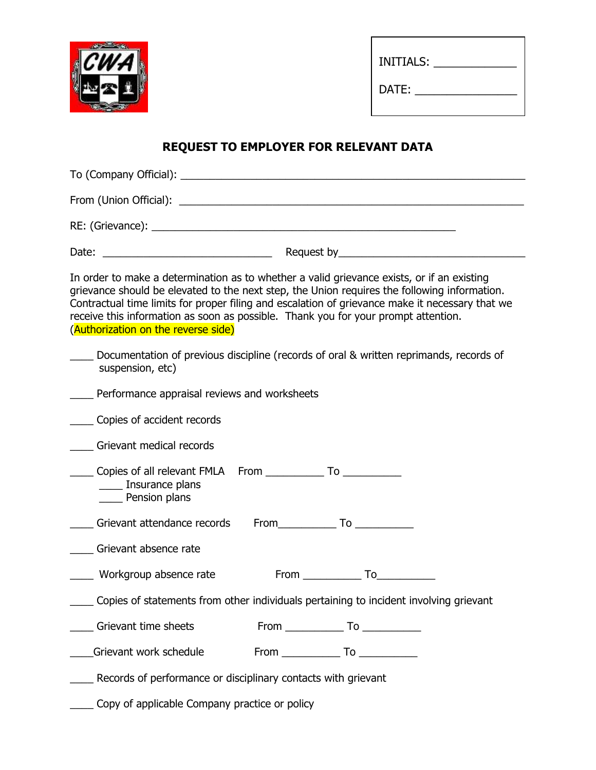

| INITIALS: |  |
|-----------|--|
| DATE:     |  |

## **REQUEST TO EMPLOYER FOR RELEVANT DATA**

| In order to make a determination as to whether a valid grievance exists, or if an existing<br>grievance should be elevated to the next step, the Union requires the following information.<br>Contractual time limits for proper filing and escalation of grievance make it necessary that we<br>receive this information as soon as possible. Thank you for your prompt attention.<br>(Authorization on the reverse side) |
|----------------------------------------------------------------------------------------------------------------------------------------------------------------------------------------------------------------------------------------------------------------------------------------------------------------------------------------------------------------------------------------------------------------------------|
| Documentation of previous discipline (records of oral & written reprimands, records of<br>suspension, etc)                                                                                                                                                                                                                                                                                                                 |
| <b>No. 2016</b> Performance appraisal reviews and worksheets                                                                                                                                                                                                                                                                                                                                                               |
| _____ Copies of accident records                                                                                                                                                                                                                                                                                                                                                                                           |
| Grievant medical records                                                                                                                                                                                                                                                                                                                                                                                                   |
| _____ Insurance plans<br>Pension plans                                                                                                                                                                                                                                                                                                                                                                                     |
| Grievant attendance records From To                                                                                                                                                                                                                                                                                                                                                                                        |
| Grievant absence rate                                                                                                                                                                                                                                                                                                                                                                                                      |
| From To<br>Workgroup absence rate                                                                                                                                                                                                                                                                                                                                                                                          |
| __ Copies of statements from other individuals pertaining to incident involving grievant                                                                                                                                                                                                                                                                                                                                   |
| Grievant time sheets                                                                                                                                                                                                                                                                                                                                                                                                       |
| Grievant work schedule                                                                                                                                                                                                                                                                                                                                                                                                     |
| Records of performance or disciplinary contacts with grievant                                                                                                                                                                                                                                                                                                                                                              |

\_\_\_\_ Copy of applicable Company practice or policy